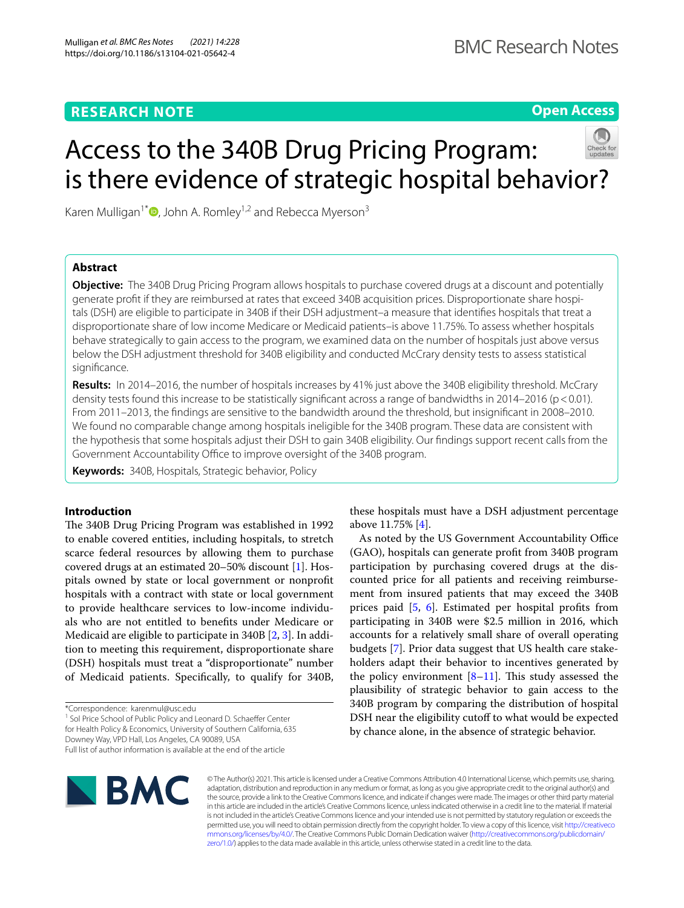# **RESEARCH NOTE**

**Open Access**

# Access to the 340B Drug Pricing Program: is there evidence of strategic hospital behavior?

Karen Mulligan<sup>1\*</sup>  $\bullet$ [,](http://orcid.org/0000-0002-6071-5564) John A. Romley<sup>1,2</sup> and Rebecca Myerson<sup>3</sup>

# **Abstract**

**Objective:** The 340B Drug Pricing Program allows hospitals to purchase covered drugs at a discount and potentially generate proft if they are reimbursed at rates that exceed 340B acquisition prices. Disproportionate share hospitals (DSH) are eligible to participate in 340B if their DSH adjustment–a measure that identifes hospitals that treat a disproportionate share of low income Medicare or Medicaid patients–is above 11.75%. To assess whether hospitals behave strategically to gain access to the program, we examined data on the number of hospitals just above versus below the DSH adjustment threshold for 340B eligibility and conducted McCrary density tests to assess statistical signifcance.

**Results:** In 2014–2016, the number of hospitals increases by 41% just above the 340B eligibility threshold. McCrary density tests found this increase to be statistically significant across a range of bandwidths in 2014–2016 (p < 0.01). From 2011–2013, the fndings are sensitive to the bandwidth around the threshold, but insignifcant in 2008–2010. We found no comparable change among hospitals ineligible for the 340B program. These data are consistent with the hypothesis that some hospitals adjust their DSH to gain 340B eligibility. Our fndings support recent calls from the Government Accountability Office to improve oversight of the 340B program.

**Keywords:** 340B, Hospitals, Strategic behavior, Policy

# **Introduction**

The 340B Drug Pricing Program was established in 1992 to enable covered entities, including hospitals, to stretch scarce federal resources by allowing them to purchase covered drugs at an estimated 20–50% discount [\[1](#page-4-0)]. Hospitals owned by state or local government or nonproft hospitals with a contract with state or local government to provide healthcare services to low-income individuals who are not entitled to benefts under Medicare or Medicaid are eligible to participate in 340B [\[2](#page-4-1), [3\]](#page-4-2). In addition to meeting this requirement, disproportionate share (DSH) hospitals must treat a "disproportionate" number of Medicaid patients. Specifcally, to qualify for 340B,

\*Correspondence: karenmul@usc.edu

<sup>1</sup> Sol Price School of Public Policy and Leonard D. Schaeffer Center for Health Policy & Economics, University of Southern California, 635 Downey Way, VPD Hall, Los Angeles, CA 90089, USA

Full list of author information is available at the end of the article



© The Author(s) 2021. This article is licensed under a Creative Commons Attribution 4.0 International License, which permits use, sharing, adaptation, distribution and reproduction in any medium or format, as long as you give appropriate credit to the original author(s) and the source, provide a link to the Creative Commons licence, and indicate if changes were made. The images or other third party material in this article are included in the article's Creative Commons licence, unless indicated otherwise in a credit line to the material. If material is not included in the article's Creative Commons licence and your intended use is not permitted by statutory regulation or exceeds the permitted use, you will need to obtain permission directly from the copyright holder. To view a copy of this licence, visit [http://creativeco](http://creativecommons.org/licenses/by/4.0/) [mmons.org/licenses/by/4.0/.](http://creativecommons.org/licenses/by/4.0/) The Creative Commons Public Domain Dedication waiver ([http://creativecommons.org/publicdomain/](http://creativecommons.org/publicdomain/zero/1.0/) [zero/1.0/\)](http://creativecommons.org/publicdomain/zero/1.0/) applies to the data made available in this article, unless otherwise stated in a credit line to the data.

these hospitals must have a DSH adjustment percentage above 11.75% [\[4](#page-4-3)].

As noted by the US Government Accountability Office (GAO), hospitals can generate proft from 340B program participation by purchasing covered drugs at the discounted price for all patients and receiving reimbursement from insured patients that may exceed the 340B prices paid [\[5](#page-4-4), [6\]](#page-4-5). Estimated per hospital profts from participating in 340B were \$2.5 million in 2016, which accounts for a relatively small share of overall operating budgets [[7\]](#page-4-6). Prior data suggest that US health care stakeholders adapt their behavior to incentives generated by the policy environment  $[8-11]$  $[8-11]$ . This study assessed the plausibility of strategic behavior to gain access to the 340B program by comparing the distribution of hospital DSH near the eligibility cutoff to what would be expected by chance alone, in the absence of strategic behavior.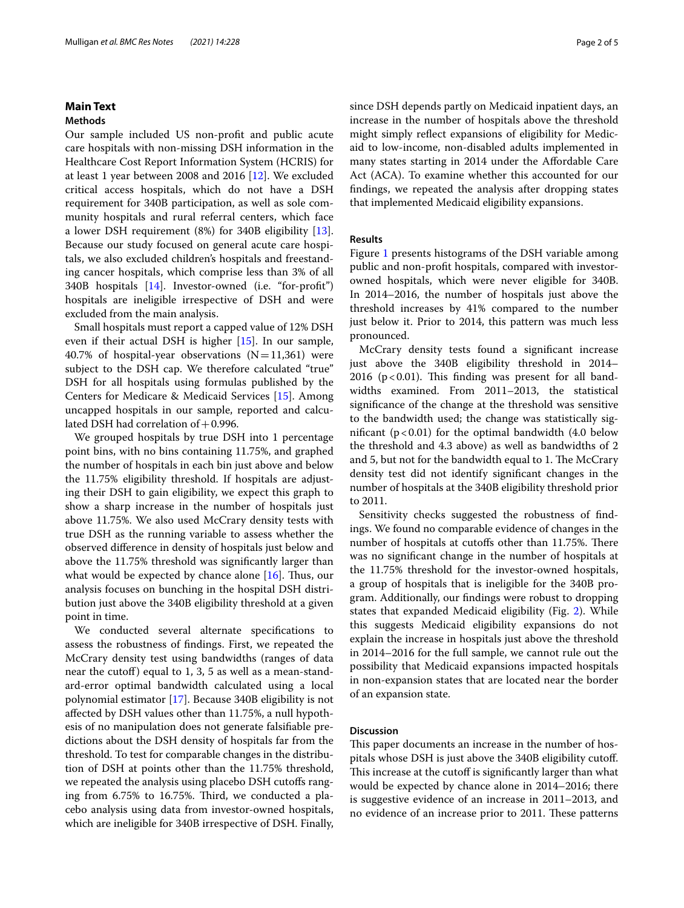# **Main Text**

# **Methods**

Our sample included US non-proft and public acute care hospitals with non-missing DSH information in the Healthcare Cost Report Information System (HCRIS) for at least 1 year between 2008 and 2016 [[12](#page-4-9)]. We excluded critical access hospitals, which do not have a DSH requirement for 340B participation, as well as sole community hospitals and rural referral centers, which face a lower DSH requirement (8%) for 340B eligibility [\[13](#page-4-10)]. Because our study focused on general acute care hospitals, we also excluded children's hospitals and freestanding cancer hospitals, which comprise less than 3% of all 340B hospitals [\[14](#page-4-11)]. Investor-owned (i.e. "for-proft") hospitals are ineligible irrespective of DSH and were excluded from the main analysis.

Small hospitals must report a capped value of 12% DSH even if their actual DSH is higher [\[15](#page-4-12)]. In our sample, 40.7% of hospital-year observations  $(N=11,361)$  were subject to the DSH cap. We therefore calculated "true" DSH for all hospitals using formulas published by the Centers for Medicare & Medicaid Services [\[15](#page-4-12)]. Among uncapped hospitals in our sample, reported and calculated DSH had correlation of  $+0.996$ .

We grouped hospitals by true DSH into 1 percentage point bins, with no bins containing 11.75%, and graphed the number of hospitals in each bin just above and below the 11.75% eligibility threshold. If hospitals are adjusting their DSH to gain eligibility, we expect this graph to show a sharp increase in the number of hospitals just above 11.75%. We also used McCrary density tests with true DSH as the running variable to assess whether the observed diference in density of hospitals just below and above the 11.75% threshold was signifcantly larger than what would be expected by chance alone  $[16]$  $[16]$  $[16]$ . Thus, our analysis focuses on bunching in the hospital DSH distribution just above the 340B eligibility threshold at a given point in time.

We conducted several alternate specifcations to assess the robustness of fndings. First, we repeated the McCrary density test using bandwidths (ranges of data near the cutof) equal to 1, 3, 5 as well as a mean-standard-error optimal bandwidth calculated using a local polynomial estimator [\[17](#page-4-14)]. Because 340B eligibility is not afected by DSH values other than 11.75%, a null hypothesis of no manipulation does not generate falsifable predictions about the DSH density of hospitals far from the threshold. To test for comparable changes in the distribution of DSH at points other than the 11.75% threshold, we repeated the analysis using placebo DSH cutoffs ranging from 6.75% to 16.75%. Third, we conducted a placebo analysis using data from investor-owned hospitals, which are ineligible for 340B irrespective of DSH. Finally, since DSH depends partly on Medicaid inpatient days, an increase in the number of hospitals above the threshold might simply refect expansions of eligibility for Medicaid to low-income, non-disabled adults implemented in many states starting in 2014 under the Afordable Care Act (ACA). To examine whether this accounted for our fndings, we repeated the analysis after dropping states that implemented Medicaid eligibility expansions.

## **Results**

Figure [1](#page-2-0) presents histograms of the DSH variable among public and non-proft hospitals, compared with investorowned hospitals, which were never eligible for 340B. In 2014–2016, the number of hospitals just above the threshold increases by 41% compared to the number just below it. Prior to 2014, this pattern was much less pronounced.

McCrary density tests found a signifcant increase just above the 340B eligibility threshold in 2014– 2016 ( $p < 0.01$ ). This finding was present for all bandwidths examined. From 2011–2013, the statistical signifcance of the change at the threshold was sensitive to the bandwidth used; the change was statistically significant  $(p < 0.01)$  for the optimal bandwidth (4.0 below the threshold and 4.3 above) as well as bandwidths of 2 and 5, but not for the bandwidth equal to 1. The McCrary density test did not identify signifcant changes in the number of hospitals at the 340B eligibility threshold prior to 2011.

Sensitivity checks suggested the robustness of fndings. We found no comparable evidence of changes in the number of hospitals at cutoffs other than 11.75%. There was no signifcant change in the number of hospitals at the 11.75% threshold for the investor-owned hospitals, a group of hospitals that is ineligible for the 340B program. Additionally, our fndings were robust to dropping states that expanded Medicaid eligibility (Fig. [2](#page-3-0)). While this suggests Medicaid eligibility expansions do not explain the increase in hospitals just above the threshold in 2014–2016 for the full sample, we cannot rule out the possibility that Medicaid expansions impacted hospitals in non-expansion states that are located near the border of an expansion state.

## **Discussion**

This paper documents an increase in the number of hospitals whose DSH is just above the 340B eligibility cutof. This increase at the cutoff is significantly larger than what would be expected by chance alone in 2014–2016; there is suggestive evidence of an increase in 2011–2013, and no evidence of an increase prior to 2011. These patterns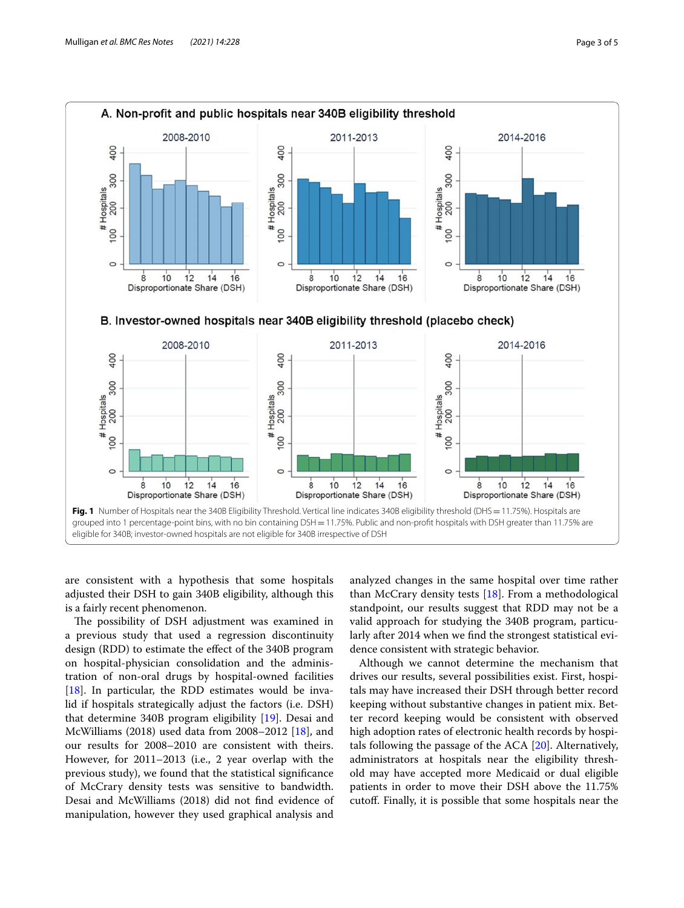

<span id="page-2-0"></span>are consistent with a hypothesis that some hospitals adjusted their DSH to gain 340B eligibility, although this is a fairly recent phenomenon.

The possibility of DSH adjustment was examined in a previous study that used a regression discontinuity design (RDD) to estimate the efect of the 340B program on hospital-physician consolidation and the administration of non-oral drugs by hospital-owned facilities [ $18$ ]. In particular, the RDD estimates would be invalid if hospitals strategically adjust the factors (i.e. DSH) that determine 340B program eligibility [\[19\]](#page-4-16). Desai and McWilliams (2018) used data from 2008–2012 [[18\]](#page-4-15), and our results for 2008–2010 are consistent with theirs. However, for 2011–2013 (i.e., 2 year overlap with the previous study), we found that the statistical signifcance of McCrary density tests was sensitive to bandwidth. Desai and McWilliams (2018) did not fnd evidence of manipulation, however they used graphical analysis and

analyzed changes in the same hospital over time rather than McCrary density tests  $[18]$  $[18]$ . From a methodological standpoint, our results suggest that RDD may not be a valid approach for studying the 340B program, particularly after 2014 when we fnd the strongest statistical evidence consistent with strategic behavior.

Although we cannot determine the mechanism that drives our results, several possibilities exist. First, hospitals may have increased their DSH through better record keeping without substantive changes in patient mix. Better record keeping would be consistent with observed high adoption rates of electronic health records by hospitals following the passage of the ACA [\[20\]](#page-4-17). Alternatively, administrators at hospitals near the eligibility threshold may have accepted more Medicaid or dual eligible patients in order to move their DSH above the 11.75% cutof. Finally, it is possible that some hospitals near the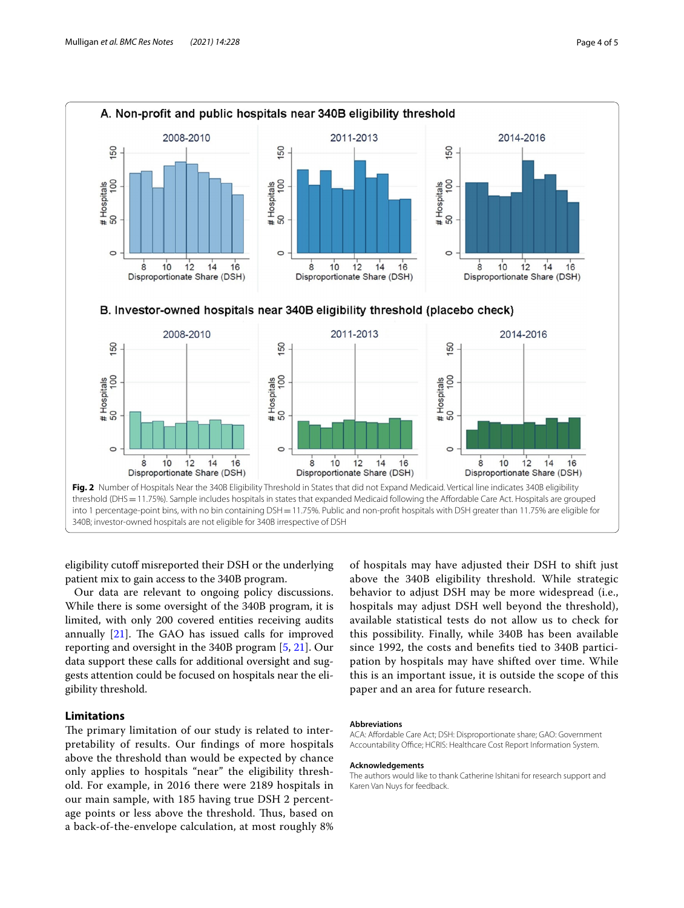

<span id="page-3-0"></span>eligibility cutoff misreported their DSH or the underlying patient mix to gain access to the 340B program.

Our data are relevant to ongoing policy discussions. While there is some oversight of the 340B program, it is limited, with only 200 covered entities receiving audits annually  $[21]$ . The GAO has issued calls for improved reporting and oversight in the 340B program [\[5](#page-4-4), [21\]](#page-4-18). Our data support these calls for additional oversight and suggests attention could be focused on hospitals near the eligibility threshold.

# **Limitations**

The primary limitation of our study is related to interpretability of results. Our fndings of more hospitals above the threshold than would be expected by chance only applies to hospitals "near" the eligibility threshold. For example, in 2016 there were 2189 hospitals in our main sample, with 185 having true DSH 2 percentage points or less above the threshold. Thus, based on a back-of-the-envelope calculation, at most roughly 8%

of hospitals may have adjusted their DSH to shift just above the 340B eligibility threshold. While strategic behavior to adjust DSH may be more widespread (i.e., hospitals may adjust DSH well beyond the threshold), available statistical tests do not allow us to check for this possibility. Finally, while 340B has been available since 1992, the costs and benefts tied to 340B participation by hospitals may have shifted over time. While this is an important issue, it is outside the scope of this paper and an area for future research.

#### **Abbreviations**

ACA: Afordable Care Act; DSH: Disproportionate share; GAO: Government Accountability Office; HCRIS: Healthcare Cost Report Information System.

#### **Acknowledgements**

The authors would like to thank Catherine Ishitani for research support and Karen Van Nuys for feedback.